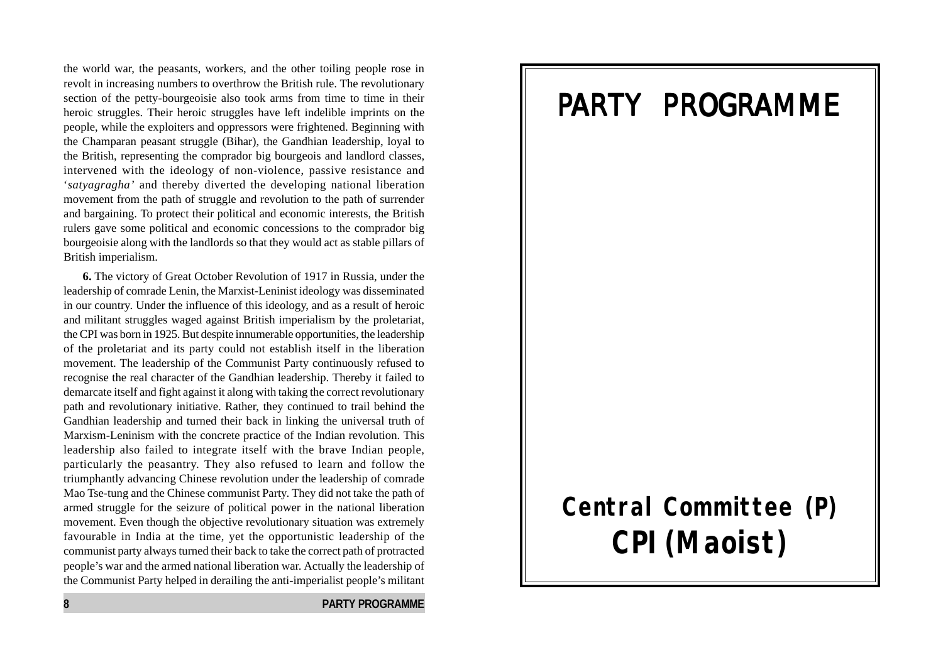the world war, the peasants, workers, and the other toiling people rose in revolt in increasing numbers to overthrow the British rule. The revolutionary section of the petty-bourgeoisie also took arms from time to time in their heroic struggles. Their heroic struggles have left indelible imprints on the people, while the exploiters and oppressors were frightened. Beginning with the Champaran peasant struggle (Bihar), the Gandhian leadership, loyal to the British, representing the comprador big bourgeois and landlord classes, intervened with the ideology of non-violence, passive resistance and '*satyagragha'* and thereby diverted the developing national liberation movement from the path of struggle and revolution to the path of surrender and bargaining. To protect their political and economic interests, the British rulers gave some political and economic concessions to the comprador big bourgeoisie along with the landlords so that they would act as stable pillars of British imperialism.

**6.** The victory of Great October Revolution of 1917 in Russia, under the leadership of comrade Lenin, the Marxist-Leninist ideology was disseminated in our country. Under the influence of this ideology, and as a result of heroic and militant struggles waged against British imperialism by the proletariat, the CPI was born in 1925. But despite innumerable opportunities, the leadership of the proletariat and its party could not establish itself in the liberation movement. The leadership of the Communist Party continuously refused to recognise the real character of the Gandhian leadership. Thereby it failed to demarcate itself and fight against it along with taking the correct revolutionary path and revolutionary initiative. Rather, they continued to trail behind the Gandhian leadership and turned their back in linking the universal truth of Marxism-Leninism with the concrete practice of the Indian revolution. This leadership also failed to integrate itself with the brave Indian people, particularly the peasantry. They also refused to learn and follow the triumphantly advancing Chinese revolution under the leadership of comrade Mao Tse-tung and the Chinese communist Party. They did not take the path of armed struggle for the seizure of political power in the national liberation movement. Even though the objective revolutionary situation was extremely favourable in India at the time, yet the opportunistic leadership of the communist party always turned their back to take the correct path of protracted people's war and the armed national liberation war. Actually the leadership of the Communist Party helped in derailing the anti-imperialist people's militant

## PARTY PROGRAMME

# **Central Committee (P) CPI(Maoist)**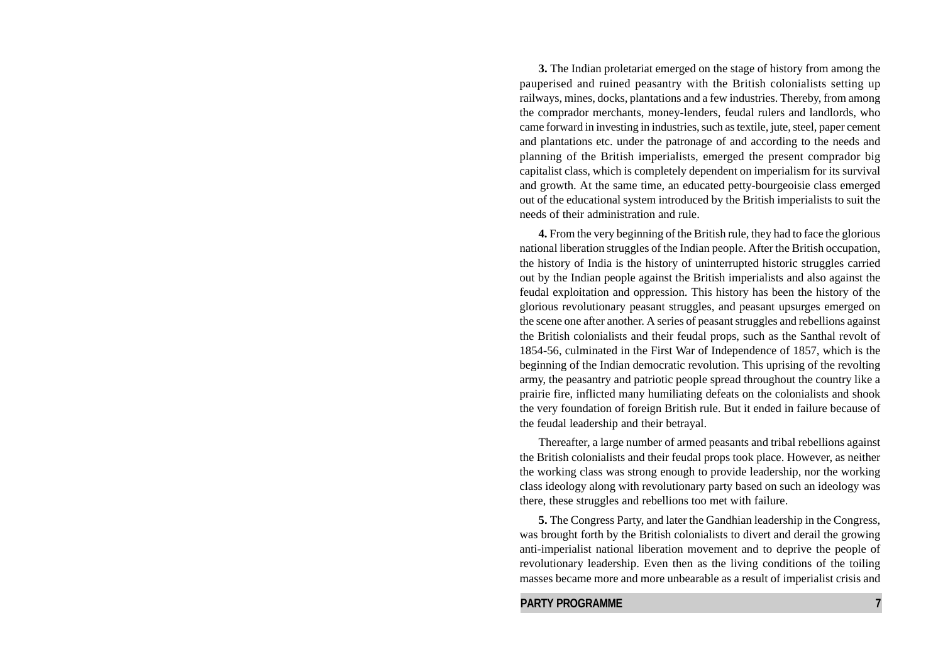**3.** The Indian proletariat emerged on the stage of history from among the pauperised and ruined peasantry with the British colonialists setting up railways, mines, docks, plantations and a few industries. Thereby, from among the comprador merchants, money-lenders, feudal rulers and landlords, who came forward in investing in industries, such as textile, jute, steel, paper cement and plantations etc. under the patronage of and according to the needs and planning of the British imperialists, emerged the present comprador big capitalist class, which is completely dependent on imperialism for its survival and growth. At the same time, an educated petty-bourgeoisie class emerged out of the educational system introduced by the British imperialists to suit the needs of their administration and rule.

**4.** From the very beginning of the British rule, they had to face the glorious national liberation struggles of the Indian people. After the British occupation, the history of India is the history of uninterrupted historic struggles carried out by the Indian people against the British imperialists and also against the feudal exploitation and oppression. This history has been the history of the glorious revolutionary peasant struggles, and peasant upsurges emerged on the scene one after another. A series of peasant struggles and rebellions against the British colonialists and their feudal props, such as the Santhal revolt of 1854-56, culminated in the First War of Independence of 1857, which is the beginning of the Indian democratic revolution. This uprising of the revolting army, the peasantry and patriotic people spread throughout the country like a prairie fire, inflicted many humiliating defeats on the colonialists and shook the very foundation of foreign British rule. But it ended in failure because of the feudal leadership and their betrayal.

Thereafter, a large number of armed peasants and tribal rebellions against the British colonialists and their feudal props took place. However, as neither the working class was strong enough to provide leadership, nor the working class ideology along with revolutionary party based on such an ideology was there, these struggles and rebellions too met with failure.

**5.** The Congress Party, and later the Gandhian leadership in the Congress, was brought forth by the British colonialists to divert and derail the growing anti-imperialist national liberation movement and to deprive the people of revolutionary leadership. Even then as the living conditions of the toiling masses became more and more unbearable as a result of imperialist crisis and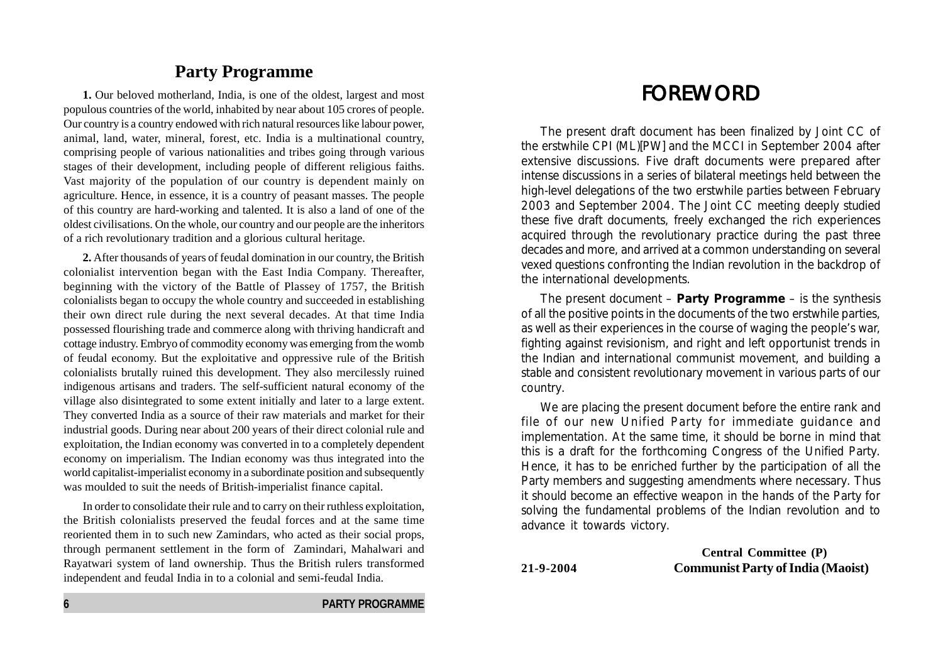#### **Party Programme**

**1.** Our beloved motherland, India, is one of the oldest, largest and most populous countries of the world, inhabited by near about 105 crores of people. Our country is a country endowed with rich natural resources like labour power, animal, land, water, mineral, forest, etc. India is a multinational country, comprising people of various nationalities and tribes going through various stages of their development, including people of different religious faiths. Vast majority of the population of our country is dependent mainly on agriculture. Hence, in essence, it is a country of peasant masses. The people of this country are hard-working and talented. It is also a land of one of the oldest civilisations. On the whole, our country and our people are the inheritors of a rich revolutionary tradition and a glorious cultural heritage.

**2.** After thousands of years of feudal domination in our country, the British colonialist intervention began with the East India Company. Thereafter, beginning with the victory of the Battle of Plassey of 1757, the British colonialists began to occupy the whole country and succeeded in establishing their own direct rule during the next several decades. At that time India possessed flourishing trade and commerce along with thriving handicraft and cottage industry. Embryo of commodity economy was emerging from the womb of feudal economy. But the exploitative and oppressive rule of the British colonialists brutally ruined this development. They also mercilessly ruined indigenous artisans and traders. The self-sufficient natural economy of the village also disintegrated to some extent initially and later to a large extent. They converted India as a source of their raw materials and market for their industrial goods. During near about 200 years of their direct colonial rule and exploitation, the Indian economy was converted in to a completely dependent economy on imperialism. The Indian economy was thus integrated into the world capitalist-imperialist economy in a subordinate position and subsequently was moulded to suit the needs of British-imperialist finance capital.

In order to consolidate their rule and to carry on their ruthless exploitation, the British colonialists preserved the feudal forces and at the same time reoriented them in to such new Zamindars, who acted as their social props, through permanent settlement in the form of Zamindari, Mahalwari and Rayatwari system of land ownership. Thus the British rulers transformed independent and feudal India in to a colonial and semi-feudal India.

## **FOREWORD**

The present draft document has been finalized by Joint CC of the erstwhile CPI (ML)[PW] and the MCCI in September 2004 after extensive discussions. Five draft documents were prepared after intense discussions in a series of bilateral meetings held between the high-level delegations of the two erstwhile parties between February 2003 and September 2004. The Joint CC meeting deeply studied these five draft documents, freely exchanged the rich experiences acquired through the revolutionary practice during the past three decades and more, and arrived at a common understanding on several vexed questions confronting the Indian revolution in the backdrop of the international developments.

The present document – **Party Programme** – is the synthesis of all the positive points in the documents of the two erstwhile parties, as well as their experiences in the course of waging the people's war, fighting against revisionism, and right and left opportunist trends in the Indian and international communist movement, and building a stable and consistent revolutionary movement in various parts of our country.

We are placing the present document before the entire rank and file of our new Unified Party for immediate guidance and implementation. At the same time, it should be borne in mind that this is a draft for the forthcoming Congress of the Unified Party. Hence, it has to be enriched further by the participation of all the Party members and suggesting amendments where necessary. Thus it should become an effective weapon in the hands of the Party for solving the fundamental problems of the Indian revolution and to advance it towards victory.

**Central Committee (P) 21-9-2004 Communist Party of India (Maoist)**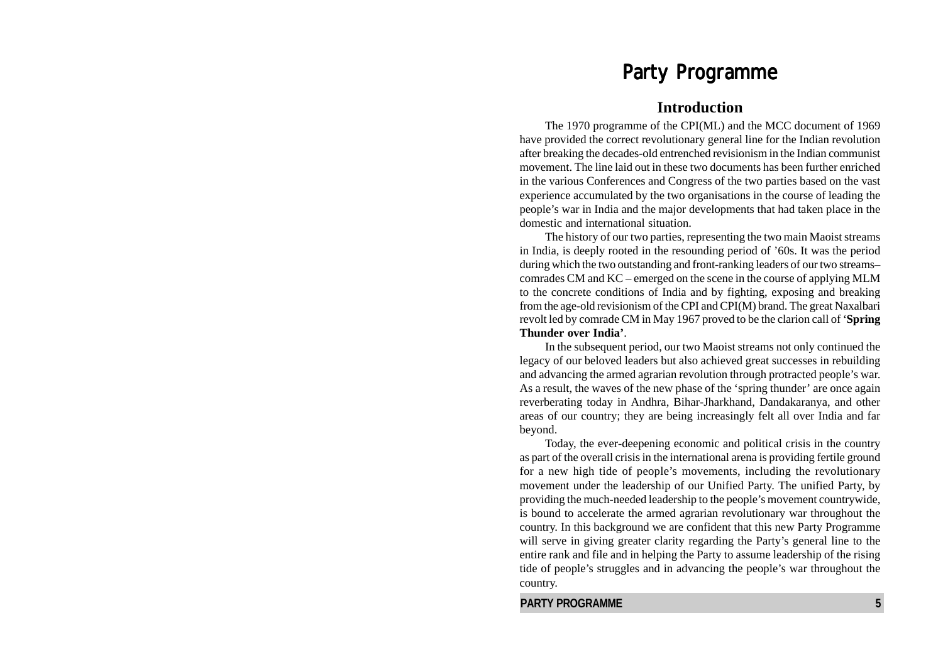### Party Programme

#### **Introduction**

The 1970 programme of the CPI(ML) and the MCC document of 1969 have provided the correct revolutionary general line for the Indian revolution after breaking the decades-old entrenched revisionism in the Indian communist movement. The line laid out in these two documents has been further enriched in the various Conferences and Congress of the two parties based on the vast experience accumulated by the two organisations in the course of leading the people's war in India and the major developments that had taken place in the domestic and international situation.

The history of our two parties, representing the two main Maoist streams in India, is deeply rooted in the resounding period of '60s. It was the period during which the two outstanding and front-ranking leaders of our two streams– comrades CM and KC – emerged on the scene in the course of applying MLM to the concrete conditions of India and by fighting, exposing and breaking from the age-old revisionism of the CPI and CPI(M) brand. The great Naxalbari revolt led by comrade CM in May 1967 proved to be the clarion call of '**Spring Thunder over India'**.

In the subsequent period, our two Maoist streams not only continued the legacy of our beloved leaders but also achieved great successes in rebuilding and advancing the armed agrarian revolution through protracted people's war. As a result, the waves of the new phase of the 'spring thunder' are once again reverberating today in Andhra, Bihar-Jharkhand, Dandakaranya, and other areas of our country; they are being increasingly felt all over India and far beyond.

Today, the ever-deepening economic and political crisis in the country as part of the overall crisis in the international arena is providing fertile ground for a new high tide of people's movements, including the revolutionary movement under the leadership of our Unified Party. The unified Party, by providing the much-needed leadership to the people's movement countrywide, is bound to accelerate the armed agrarian revolutionary war throughout the country. In this background we are confident that this new Party Programme will serve in giving greater clarity regarding the Party's general line to the entire rank and file and in helping the Party to assume leadership of the rising tide of people's struggles and in advancing the people's war throughout the country.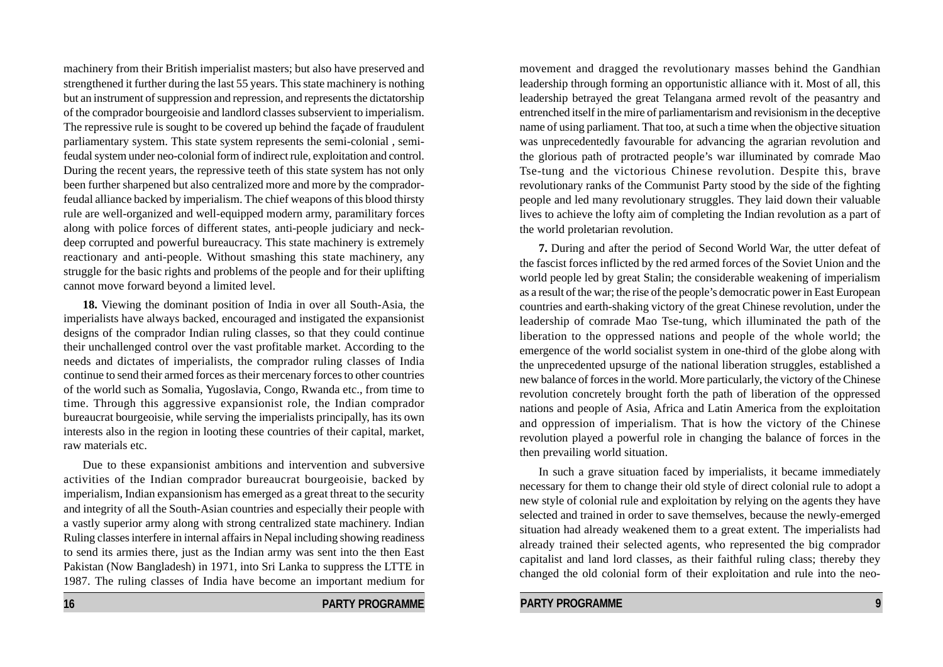machinery from their British imperialist masters; but also have preserved and strengthened it further during the last 55 years. This state machinery is nothing but an instrument of suppression and repression, and represents the dictatorship of the comprador bourgeoisie and landlord classes subservient to imperialism. The repressive rule is sought to be covered up behind the façade of fraudulent parliamentary system. This state system represents the semi-colonial , semifeudal system under neo-colonial form of indirect rule, exploitation and control. During the recent years, the repressive teeth of this state system has not only been further sharpened but also centralized more and more by the compradorfeudal alliance backed by imperialism. The chief weapons of this blood thirsty rule are well-organized and well-equipped modern army, paramilitary forces along with police forces of different states, anti-people judiciary and neckdeep corrupted and powerful bureaucracy. This state machinery is extremely reactionary and anti-people. Without smashing this state machinery, any struggle for the basic rights and problems of the people and for their uplifting cannot move forward beyond a limited level.

**18.** Viewing the dominant position of India in over all South-Asia, the imperialists have always backed, encouraged and instigated the expansionist designs of the comprador Indian ruling classes, so that they could continue their unchallenged control over the vast profitable market. According to the needs and dictates of imperialists, the comprador ruling classes of India continue to send their armed forces as their mercenary forces to other countries of the world such as Somalia, Yugoslavia, Congo, Rwanda etc., from time to time. Through this aggressive expansionist role, the Indian comprador bureaucrat bourgeoisie, while serving the imperialists principally, has its own interests also in the region in looting these countries of their capital, market, raw materials etc.

Due to these expansionist ambitions and intervention and subversive activities of the Indian comprador bureaucrat bourgeoisie, backed by imperialism, Indian expansionism has emerged as a great threat to the security and integrity of all the South-Asian countries and especially their people with a vastly superior army along with strong centralized state machinery. Indian Ruling classes interfere in internal affairs in Nepal including showing readiness to send its armies there, just as the Indian army was sent into the then East Pakistan (Now Bangladesh) in 1971, into Sri Lanka to suppress the LTTE in 1987. The ruling classes of India have become an important medium for

**16 PARTY PROGRAMME** 

movement and dragged the revolutionary masses behind the Gandhian leadership through forming an opportunistic alliance with it. Most of all, this leadership betrayed the great Telangana armed revolt of the peasantry and entrenched itself in the mire of parliamentarism and revisionism in the deceptive name of using parliament. That too, at such a time when the objective situation was unprecedentedly favourable for advancing the agrarian revolution and the glorious path of protracted people's war illuminated by comrade Mao Tse-tung and the victorious Chinese revolution. Despite this, brave revolutionary ranks of the Communist Party stood by the side of the fighting people and led many revolutionary struggles. They laid down their valuable lives to achieve the lofty aim of completing the Indian revolution as a part of the world proletarian revolution.

**7.** During and after the period of Second World War, the utter defeat of the fascist forces inflicted by the red armed forces of the Soviet Union and the world people led by great Stalin; the considerable weakening of imperialism as a result of the war; the rise of the people's democratic power in East European countries and earth-shaking victory of the great Chinese revolution, under the leadership of comrade Mao Tse-tung, which illuminated the path of the liberation to the oppressed nations and people of the whole world; the emergence of the world socialist system in one-third of the globe along with the unprecedented upsurge of the national liberation struggles, established a new balance of forces in the world. More particularly, the victory of the Chinese revolution concretely brought forth the path of liberation of the oppressed nations and people of Asia, Africa and Latin America from the exploitation and oppression of imperialism. That is how the victory of the Chinese revolution played a powerful role in changing the balance of forces in the then prevailing world situation.

In such a grave situation faced by imperialists, it became immediately necessary for them to change their old style of direct colonial rule to adopt a new style of colonial rule and exploitation by relying on the agents they have selected and trained in order to save themselves, because the newly-emerged situation had already weakened them to a great extent. The imperialists had already trained their selected agents, who represented the big comprador capitalist and land lord classes, as their faithful ruling class; thereby they changed the old colonial form of their exploitation and rule into the neo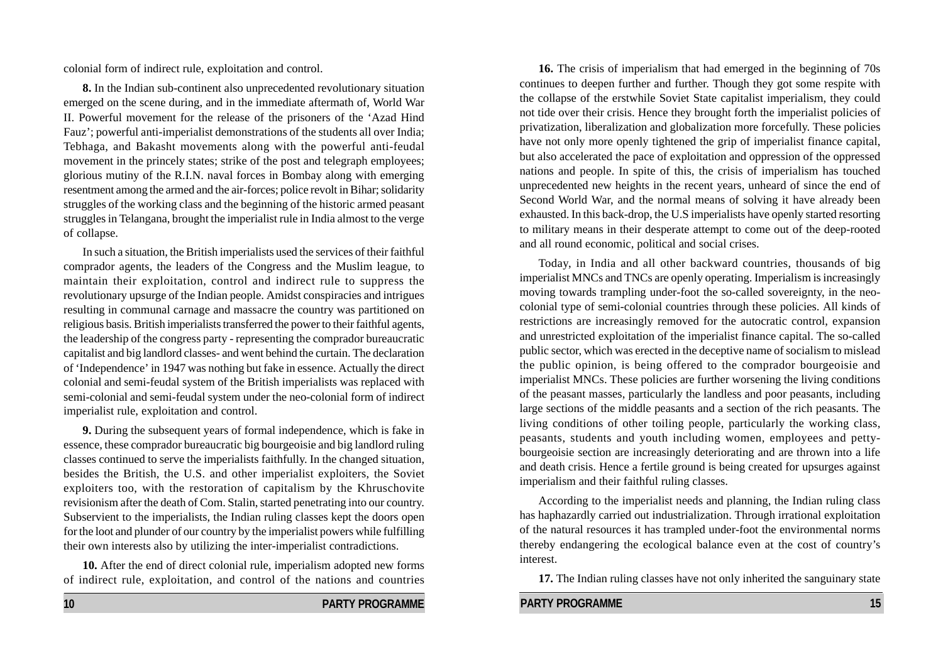colonial form of indirect rule, exploitation and control.

**8.** In the Indian sub-continent also unprecedented revolutionary situation emerged on the scene during, and in the immediate aftermath of, World War II. Powerful movement for the release of the prisoners of the 'Azad Hind Fauz'; powerful anti-imperialist demonstrations of the students all over India; Tebhaga, and Bakasht movements along with the powerful anti-feudal movement in the princely states; strike of the post and telegraph employees; glorious mutiny of the R.I.N. naval forces in Bombay along with emerging resentment among the armed and the air-forces; police revolt in Bihar; solidarity struggles of the working class and the beginning of the historic armed peasant struggles in Telangana, brought the imperialist rule in India almost to the verge of collapse.

In such a situation, the British imperialists used the services of their faithful comprador agents, the leaders of the Congress and the Muslim league, to maintain their exploitation, control and indirect rule to suppress the revolutionary upsurge of the Indian people. Amidst conspiracies and intrigues resulting in communal carnage and massacre the country was partitioned on religious basis. British imperialists transferred the power to their faithful agents, the leadership of the congress party - representing the comprador bureaucratic capitalist and big landlord classes- and went behind the curtain. The declaration of 'Independence' in 1947 was nothing but fake in essence. Actually the direct colonial and semi-feudal system of the British imperialists was replaced with semi-colonial and semi-feudal system under the neo-colonial form of indirect imperialist rule, exploitation and control.

**9.** During the subsequent years of formal independence, which is fake in essence, these comprador bureaucratic big bourgeoisie and big landlord ruling classes continued to serve the imperialists faithfully. In the changed situation, besides the British, the U.S. and other imperialist exploiters, the Soviet exploiters too, with the restoration of capitalism by the Khruschovite revisionism after the death of Com. Stalin, started penetrating into our country. Subservient to the imperialists, the Indian ruling classes kept the doors open for the loot and plunder of our country by the imperialist powers while fulfilling their own interests also by utilizing the inter-imperialist contradictions.

**10.** After the end of direct colonial rule, imperialism adopted new forms of indirect rule, exploitation, and control of the nations and countries

**10 PARTY PROGRAMME** 

**16.** The crisis of imperialism that had emerged in the beginning of 70s continues to deepen further and further. Though they got some respite with the collapse of the erstwhile Soviet State capitalist imperialism, they could not tide over their crisis. Hence they brought forth the imperialist policies of privatization, liberalization and globalization more forcefully. These policies have not only more openly tightened the grip of imperialist finance capital, but also accelerated the pace of exploitation and oppression of the oppressed nations and people. In spite of this, the crisis of imperialism has touched unprecedented new heights in the recent years, unheard of since the end of Second World War, and the normal means of solving it have already been exhausted. In this back-drop, the U.S imperialists have openly started resorting to military means in their desperate attempt to come out of the deep-rooted and all round economic, political and social crises.

Today, in India and all other backward countries, thousands of big imperialist MNCs and TNCs are openly operating. Imperialism is increasingly moving towards trampling under-foot the so-called sovereignty, in the neocolonial type of semi-colonial countries through these policies. All kinds of restrictions are increasingly removed for the autocratic control, expansion and unrestricted exploitation of the imperialist finance capital. The so-called public sector, which was erected in the deceptive name of socialism to mislead the public opinion, is being offered to the comprador bourgeoisie and imperialist MNCs. These policies are further worsening the living conditions of the peasant masses, particularly the landless and poor peasants, including large sections of the middle peasants and a section of the rich peasants. The living conditions of other toiling people, particularly the working class, peasants, students and youth including women, employees and pettybourgeoisie section are increasingly deteriorating and are thrown into a life and death crisis. Hence a fertile ground is being created for upsurges against imperialism and their faithful ruling classes.

According to the imperialist needs and planning, the Indian ruling class has haphazardly carried out industrialization. Through irrational exploitation of the natural resources it has trampled under-foot the environmental norms thereby endangering the ecological balance even at the cost of country's interest.

**17.** The Indian ruling classes have not only inherited the sanguinary state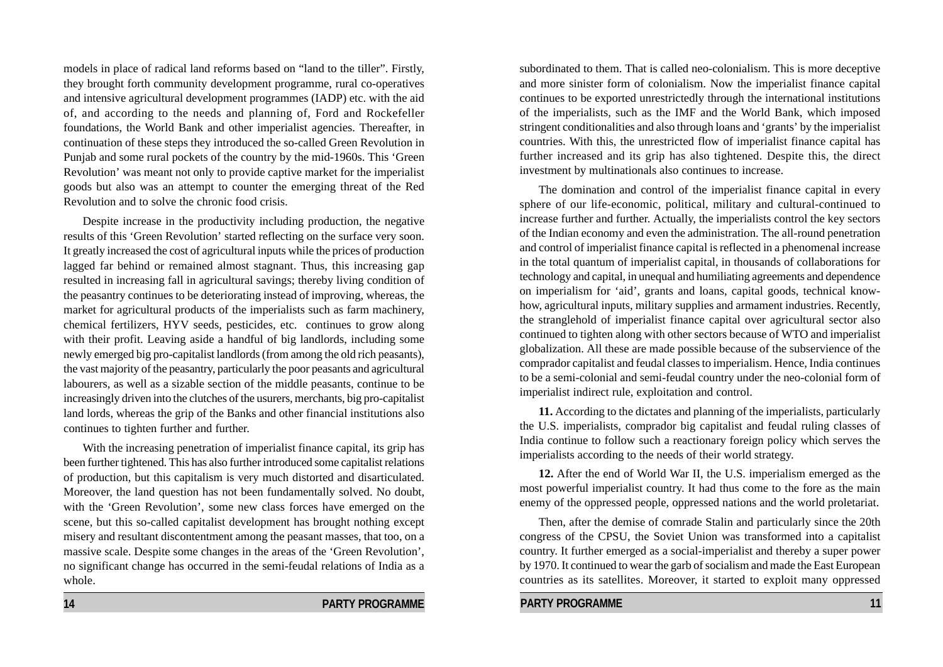models in place of radical land reforms based on "land to the tiller". Firstly, they brought forth community development programme, rural co-operatives and intensive agricultural development programmes (IADP) etc. with the aid of, and according to the needs and planning of, Ford and Rockefeller foundations, the World Bank and other imperialist agencies. Thereafter, in continuation of these steps they introduced the so-called Green Revolution in Punjab and some rural pockets of the country by the mid-1960s. This 'Green Revolution' was meant not only to provide captive market for the imperialist goods but also was an attempt to counter the emerging threat of the Red Revolution and to solve the chronic food crisis.

Despite increase in the productivity including production, the negative results of this 'Green Revolution' started reflecting on the surface very soon. It greatly increased the cost of agricultural inputs while the prices of production lagged far behind or remained almost stagnant. Thus, this increasing gap resulted in increasing fall in agricultural savings; thereby living condition of the peasantry continues to be deteriorating instead of improving, whereas, the market for agricultural products of the imperialists such as farm machinery, chemical fertilizers, HYV seeds, pesticides, etc. continues to grow along with their profit. Leaving aside a handful of big landlords, including some newly emerged big pro-capitalist landlords (from among the old rich peasants), the vast majority of the peasantry, particularly the poor peasants and agricultural labourers, as well as a sizable section of the middle peasants, continue to be increasingly driven into the clutches of the usurers, merchants, big pro-capitalist land lords, whereas the grip of the Banks and other financial institutions also continues to tighten further and further.

With the increasing penetration of imperialist finance capital, its grip has been further tightened. This has also further introduced some capitalist relations of production, but this capitalism is very much distorted and disarticulated. Moreover, the land question has not been fundamentally solved. No doubt, with the 'Green Revolution', some new class forces have emerged on the scene, but this so-called capitalist development has brought nothing except misery and resultant discontentment among the peasant masses, that too, on a massive scale. Despite some changes in the areas of the 'Green Revolution', no significant change has occurred in the semi-feudal relations of India as a whole.

subordinated to them. That is called neo-colonialism. This is more deceptive and more sinister form of colonialism. Now the imperialist finance capital continues to be exported unrestrictedly through the international institutions of the imperialists, such as the IMF and the World Bank, which imposed stringent conditionalities and also through loans and 'grants' by the imperialist countries. With this, the unrestricted flow of imperialist finance capital has further increased and its grip has also tightened. Despite this, the direct investment by multinationals also continues to increase.

The domination and control of the imperialist finance capital in every sphere of our life-economic, political, military and cultural-continued to increase further and further. Actually, the imperialists control the key sectors of the Indian economy and even the administration. The all-round penetration and control of imperialist finance capital is reflected in a phenomenal increase in the total quantum of imperialist capital, in thousands of collaborations for technology and capital, in unequal and humiliating agreements and dependence on imperialism for 'aid', grants and loans, capital goods, technical knowhow, agricultural inputs, military supplies and armament industries. Recently, the stranglehold of imperialist finance capital over agricultural sector also continued to tighten along with other sectors because of WTO and imperialist globalization. All these are made possible because of the subservience of the comprador capitalist and feudal classes to imperialism. Hence, India continues to be a semi-colonial and semi-feudal country under the neo-colonial form of imperialist indirect rule, exploitation and control.

**11.** According to the dictates and planning of the imperialists, particularly the U.S. imperialists, comprador big capitalist and feudal ruling classes of India continue to follow such a reactionary foreign policy which serves the imperialists according to the needs of their world strategy.

**12.** After the end of World War II, the U.S. imperialism emerged as the most powerful imperialist country. It had thus come to the fore as the main enemy of the oppressed people, oppressed nations and the world proletariat.

Then, after the demise of comrade Stalin and particularly since the 20th congress of the CPSU, the Soviet Union was transformed into a capitalist country. It further emerged as a social-imperialist and thereby a super power by 1970. It continued to wear the garb of socialism and made the East European countries as its satellites. Moreover, it started to exploit many oppressed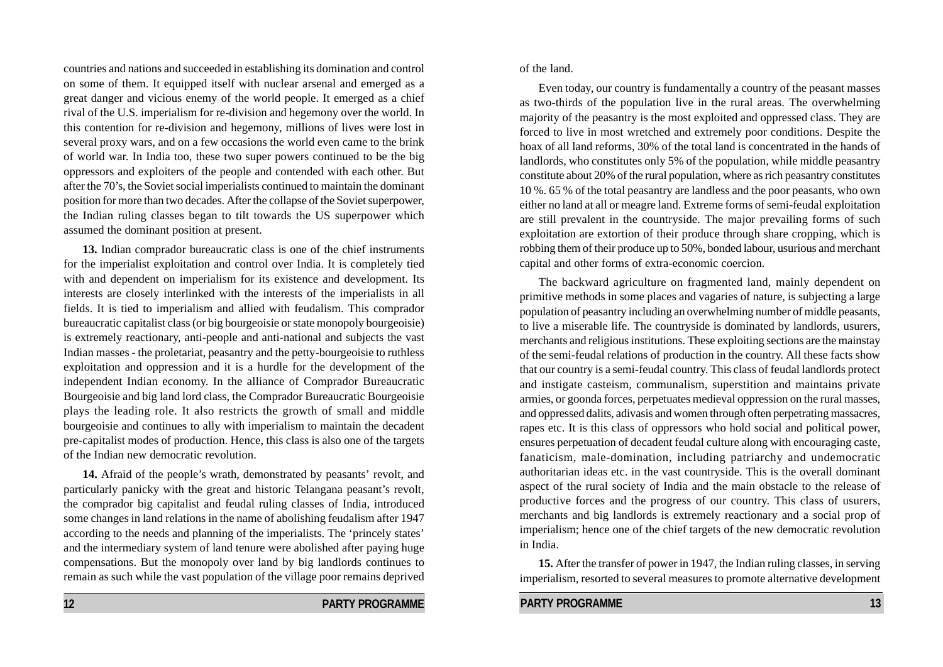countries and nations and succeeded in establishing its domination and control on some of them. It equipped itself with nuclear arsenal and emerged as a great danger and vicious enemy of the world people. It emerged as a chief rival of the U.S. imperialism for re-division and hegemony over the world. In this contention for re-division and hegemony, millions of lives were lost in several proxy wars, and on a few occasions the world even came to the brink of world war. In India too, these two super powers continued to be the big oppressors and exploiters of the people and contended with each other. But after the 70's, the Soviet social imperialists continued to maintain the dominant position for more than two decades. After the collapse of the Soviet superpower, the Indian ruling classes began to tilt towards the US superpower which assumed the dominant position at present.

**13.** Indian comprador bureaucratic class is one of the chief instruments for the imperialist exploitation and control over India. It is completely tied with and dependent on imperialism for its existence and development. Its interests are closely interlinked with the interests of the imperialists in all fields. It is tied to imperialism and allied with feudalism. This comprador bureaucratic capitalist class (or big bourgeoisie or state monopoly bourgeoisie) is extremely reactionary, anti-people and anti-national and subjects the vast Indian masses - the proletariat, peasantry and the petty-bourgeoisie to ruthless exploitation and oppression and it is a hurdle for the development of the independent Indian economy. In the alliance of Comprador Bureaucratic Bourgeoisie and big land lord class, the Comprador Bureaucratic Bourgeoisie plays the leading role. It also restricts the growth of small and middle bourgeoisie and continues to ally with imperialism to maintain the decadent pre-capitalist modes of production. Hence, this class is also one of the targets of the Indian new democratic revolution.

**14.** Afraid of the people's wrath, demonstrated by peasants' revolt, and particularly panicky with the great and historic Telangana peasant's revolt, the comprador big capitalist and feudal ruling classes of India, introduced some changes in land relations in the name of abolishing feudalism after 1947 according to the needs and planning of the imperialists. The 'princely states' and the intermediary system of land tenure were abolished after paying huge compensations. But the monopoly over land by big landlords continues to remain as such while the vast population of the village poor remains deprived

**12 PARTY PROGRAMME** 

merchants and religious institutions. These exploiting sections are the mainstay of the semi-feudal relations of production in the country. All these facts show that our country is a semi-feudal country. This class of feudal landlords protect and instigate casteism, communalism, superstition and maintains private armies, or goonda forces, perpetuates medieval oppression on the rural masses, and oppressed dalits, adivasis and women through often perpetrating massacres, rapes etc. It is this class of oppressors who hold social and political power, ensures perpetuation of decadent feudal culture along with encouraging caste,

**PARTY PROGRAMME** 13

of the land.

Even today, our country is fundamentally a country of the peasant masses as two-thirds of the population live in the rural areas. The overwhelming majority of the peasantry is the most exploited and oppressed class. They are forced to live in most wretched and extremely poor conditions. Despite the hoax of all land reforms, 30% of the total land is concentrated in the hands of landlords, who constitutes only 5% of the population, while middle peasantry constitute about 20% of the rural population, where as rich peasantry constitutes 10 %. 65 % of the total peasantry are landless and the poor peasants, who own either no land at all or meagre land. Extreme forms of semi-feudal exploitation are still prevalent in the countryside. The major prevailing forms of such exploitation are extortion of their produce through share cropping, which is robbing them of their produce up to 50%, bonded labour, usurious and merchant capital and other forms of extra-economic coercion.

The backward agriculture on fragmented land, mainly dependent on primitive methods in some places and vagaries of nature, is subjecting a large population of peasantry including an overwhelming number of middle peasants, to live a miserable life. The countryside is dominated by landlords, usurers,

fanaticism, male-domination, including patriarchy and undemocratic authoritarian ideas etc. in the vast countryside. This is the overall dominant aspect of the rural society of India and the main obstacle to the release of productive forces and the progress of our country. This class of usurers, merchants and big landlords is extremely reactionary and a social prop of imperialism; hence one of the chief targets of the new democratic revolution in India. **15.** After the transfer of power in 1947, the Indian ruling classes, in serving

imperialism, resorted to several measures to promote alternative development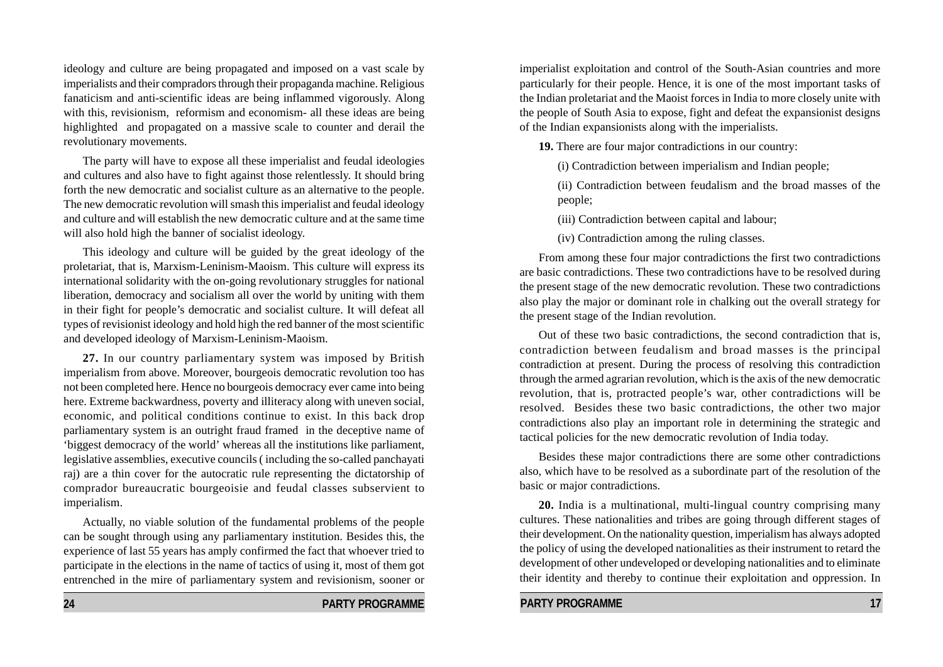ideology and culture are being propagated and imposed on a vast scale by imperialists and their compradors through their propaganda machine. Religious fanaticism and anti-scientific ideas are being inflammed vigorously. Along with this, revisionism, reformism and economism- all these ideas are being highlighted and propagated on a massive scale to counter and derail the revolutionary movements.

The party will have to expose all these imperialist and feudal ideologies and cultures and also have to fight against those relentlessly. It should bring forth the new democratic and socialist culture as an alternative to the people. The new democratic revolution will smash this imperialist and feudal ideology and culture and will establish the new democratic culture and at the same time will also hold high the banner of socialist ideology.

This ideology and culture will be guided by the great ideology of the proletariat, that is, Marxism-Leninism-Maoism. This culture will express its international solidarity with the on-going revolutionary struggles for national liberation, democracy and socialism all over the world by uniting with them in their fight for people's democratic and socialist culture. It will defeat all types of revisionist ideology and hold high the red banner of the most scientific and developed ideology of Marxism-Leninism-Maoism.

**27.** In our country parliamentary system was imposed by British imperialism from above. Moreover, bourgeois democratic revolution too has not been completed here. Hence no bourgeois democracy ever came into being here. Extreme backwardness, poverty and illiteracy along with uneven social, economic, and political conditions continue to exist. In this back drop parliamentary system is an outright fraud framed in the deceptive name of 'biggest democracy of the world' whereas all the institutions like parliament, legislative assemblies, executive councils ( including the so-called panchayati raj) are a thin cover for the autocratic rule representing the dictatorship of comprador bureaucratic bourgeoisie and feudal classes subservient to imperialism.

Actually, no viable solution of the fundamental problems of the people can be sought through using any parliamentary institution. Besides this, the experience of last 55 years has amply confirmed the fact that whoever tried to participate in the elections in the name of tactics of using it, most of them got entrenched in the mire of parliamentary system and revisionism, sooner or imperialist exploitation and control of the South-Asian countries and more particularly for their people. Hence, it is one of the most important tasks of the Indian proletariat and the Maoist forces in India to more closely unite with the people of South Asia to expose, fight and defeat the expansionist designs of the Indian expansionists along with the imperialists.

**19.** There are four major contradictions in our country:

(i) Contradiction between imperialism and Indian people;

(ii) Contradiction between feudalism and the broad masses of the people;

(iii) Contradiction between capital and labour;

(iv) Contradiction among the ruling classes.

From among these four major contradictions the first two contradictions are basic contradictions. These two contradictions have to be resolved during the present stage of the new democratic revolution. These two contradictions also play the major or dominant role in chalking out the overall strategy for the present stage of the Indian revolution.

Out of these two basic contradictions, the second contradiction that is, contradiction between feudalism and broad masses is the principal contradiction at present. During the process of resolving this contradiction through the armed agrarian revolution, which is the axis of the new democratic revolution, that is, protracted people's war, other contradictions will be resolved. Besides these two basic contradictions, the other two major contradictions also play an important role in determining the strategic and tactical policies for the new democratic revolution of India today.

Besides these major contradictions there are some other contradictions also, which have to be resolved as a subordinate part of the resolution of the basic or major contradictions.

**20.** India is a multinational, multi-lingual country comprising many cultures. These nationalities and tribes are going through different stages of their development. On the nationality question, imperialism has always adopted the policy of using the developed nationalities as their instrument to retard the development of other undeveloped or developing nationalities and to eliminate their identity and thereby to continue their exploitation and oppression. In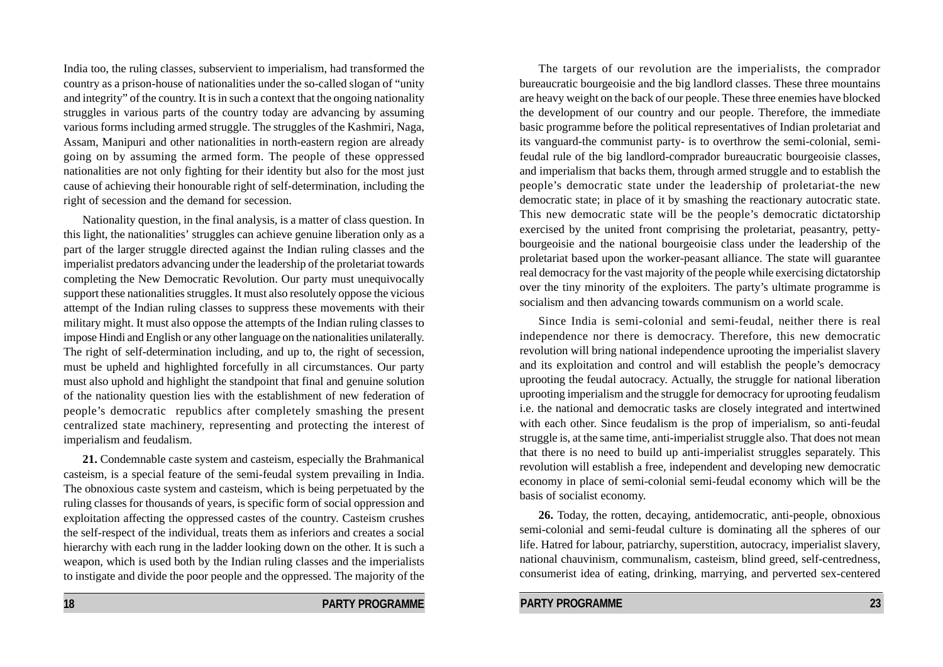India too, the ruling classes, subservient to imperialism, had transformed the country as a prison-house of nationalities under the so-called slogan of "unity and integrity" of the country. It is in such a context that the ongoing nationality struggles in various parts of the country today are advancing by assuming various forms including armed struggle. The struggles of the Kashmiri, Naga, Assam, Manipuri and other nationalities in north-eastern region are already going on by assuming the armed form. The people of these oppressed nationalities are not only fighting for their identity but also for the most just cause of achieving their honourable right of self-determination, including the right of secession and the demand for secession.

Nationality question, in the final analysis, is a matter of class question. In this light, the nationalities' struggles can achieve genuine liberation only as a part of the larger struggle directed against the Indian ruling classes and the imperialist predators advancing under the leadership of the proletariat towards completing the New Democratic Revolution. Our party must unequivocally support these nationalities struggles. It must also resolutely oppose the vicious attempt of the Indian ruling classes to suppress these movements with their military might. It must also oppose the attempts of the Indian ruling classes to impose Hindi and English or any other language on the nationalities unilaterally. The right of self-determination including, and up to, the right of secession, must be upheld and highlighted forcefully in all circumstances. Our party must also uphold and highlight the standpoint that final and genuine solution of the nationality question lies with the establishment of new federation of people's democratic republics after completely smashing the present centralized state machinery, representing and protecting the interest of imperialism and feudalism.

**21.** Condemnable caste system and casteism, especially the Brahmanical casteism, is a special feature of the semi-feudal system prevailing in India. The obnoxious caste system and casteism, which is being perpetuated by the ruling classes for thousands of years, is specific form of social oppression and exploitation affecting the oppressed castes of the country. Casteism crushes the self-respect of the individual, treats them as inferiors and creates a social hierarchy with each rung in the ladder looking down on the other. It is such a weapon, which is used both by the Indian ruling classes and the imperialists to instigate and divide the poor people and the oppressed. The majority of the

The targets of our revolution are the imperialists, the comprador bureaucratic bourgeoisie and the big landlord classes. These three mountains are heavy weight on the back of our people. These three enemies have blocked the development of our country and our people. Therefore, the immediate basic programme before the political representatives of Indian proletariat and its vanguard-the communist party- is to overthrow the semi-colonial, semifeudal rule of the big landlord-comprador bureaucratic bourgeoisie classes, and imperialism that backs them, through armed struggle and to establish the people's democratic state under the leadership of proletariat-the new democratic state; in place of it by smashing the reactionary autocratic state. This new democratic state will be the people's democratic dictatorship exercised by the united front comprising the proletariat, peasantry, pettybourgeoisie and the national bourgeoisie class under the leadership of the proletariat based upon the worker-peasant alliance. The state will guarantee real democracy for the vast majority of the people while exercising dictatorship over the tiny minority of the exploiters. The party's ultimate programme is socialism and then advancing towards communism on a world scale.

Since India is semi-colonial and semi-feudal, neither there is real independence nor there is democracy. Therefore, this new democratic revolution will bring national independence uprooting the imperialist slavery and its exploitation and control and will establish the people's democracy uprooting the feudal autocracy. Actually, the struggle for national liberation uprooting imperialism and the struggle for democracy for uprooting feudalism i.e. the national and democratic tasks are closely integrated and intertwined with each other. Since feudalism is the prop of imperialism, so anti-feudal struggle is, at the same time, anti-imperialist struggle also. That does not mean that there is no need to build up anti-imperialist struggles separately. This revolution will establish a free, independent and developing new democratic economy in place of semi-colonial semi-feudal economy which will be the basis of socialist economy.

**26.** Today, the rotten, decaying, antidemocratic, anti-people, obnoxious semi-colonial and semi-feudal culture is dominating all the spheres of our life. Hatred for labour, patriarchy, superstition, autocracy, imperialist slavery, national chauvinism, communalism, casteism, blind greed, self-centredness, consumerist idea of eating, drinking, marrying, and perverted sex-centered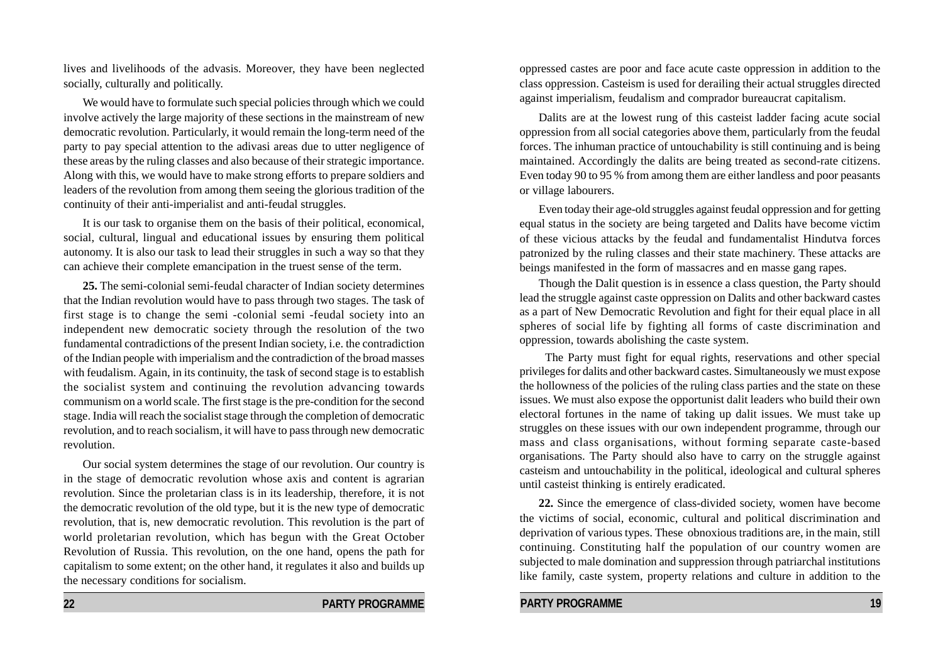lives and livelihoods of the advasis. Moreover, they have been neglected socially, culturally and politically.

We would have to formulate such special policies through which we could involve actively the large majority of these sections in the mainstream of new democratic revolution. Particularly, it would remain the long-term need of the party to pay special attention to the adivasi areas due to utter negligence of these areas by the ruling classes and also because of their strategic importance. Along with this, we would have to make strong efforts to prepare soldiers and leaders of the revolution from among them seeing the glorious tradition of the continuity of their anti-imperialist and anti-feudal struggles.

It is our task to organise them on the basis of their political, economical, social, cultural, lingual and educational issues by ensuring them political autonomy. It is also our task to lead their struggles in such a way so that they can achieve their complete emancipation in the truest sense of the term.

**25.** The semi-colonial semi-feudal character of Indian society determines that the Indian revolution would have to pass through two stages. The task of first stage is to change the semi -colonial semi -feudal society into an independent new democratic society through the resolution of the two fundamental contradictions of the present Indian society, i.e. the contradiction of the Indian people with imperialism and the contradiction of the broad masses with feudalism. Again, in its continuity, the task of second stage is to establish the socialist system and continuing the revolution advancing towards communism on a world scale. The first stage is the pre-condition for the second stage. India will reach the socialist stage through the completion of democratic revolution, and to reach socialism, it will have to pass through new democratic revolution.

Our social system determines the stage of our revolution. Our country is in the stage of democratic revolution whose axis and content is agrarian revolution. Since the proletarian class is in its leadership, therefore, it is not the democratic revolution of the old type, but it is the new type of democratic revolution, that is, new democratic revolution. This revolution is the part of world proletarian revolution, which has begun with the Great October Revolution of Russia. This revolution, on the one hand, opens the path for capitalism to some extent; on the other hand, it regulates it also and builds up the necessary conditions for socialism.

**22 PARTY PROGRAMME** 

oppressed castes are poor and face acute caste oppression in addition to the class oppression. Casteism is used for derailing their actual struggles directed against imperialism, feudalism and comprador bureaucrat capitalism.

Dalits are at the lowest rung of this casteist ladder facing acute social oppression from all social categories above them, particularly from the feudal forces. The inhuman practice of untouchability is still continuing and is being maintained. Accordingly the dalits are being treated as second-rate citizens. Even today 90 to 95 % from among them are either landless and poor peasants or village labourers.

Even today their age-old struggles against feudal oppression and for getting equal status in the society are being targeted and Dalits have become victim of these vicious attacks by the feudal and fundamentalist Hindutva forces patronized by the ruling classes and their state machinery. These attacks are beings manifested in the form of massacres and en masse gang rapes.

Though the Dalit question is in essence a class question, the Party should lead the struggle against caste oppression on Dalits and other backward castes as a part of New Democratic Revolution and fight for their equal place in all spheres of social life by fighting all forms of caste discrimination and oppression, towards abolishing the caste system.

The Party must fight for equal rights, reservations and other special privileges for dalits and other backward castes. Simultaneously we must expose the hollowness of the policies of the ruling class parties and the state on these issues. We must also expose the opportunist dalit leaders who build their own electoral fortunes in the name of taking up dalit issues. We must take up struggles on these issues with our own independent programme, through our mass and class organisations, without forming separate caste-based organisations. The Party should also have to carry on the struggle against casteism and untouchability in the political, ideological and cultural spheres until casteist thinking is entirely eradicated.

**22.** Since the emergence of class-divided society, women have become the victims of social, economic, cultural and political discrimination and deprivation of various types. These obnoxious traditions are, in the main, still continuing. Constituting half the population of our country women are subjected to male domination and suppression through patriarchal institutions like family, caste system, property relations and culture in addition to the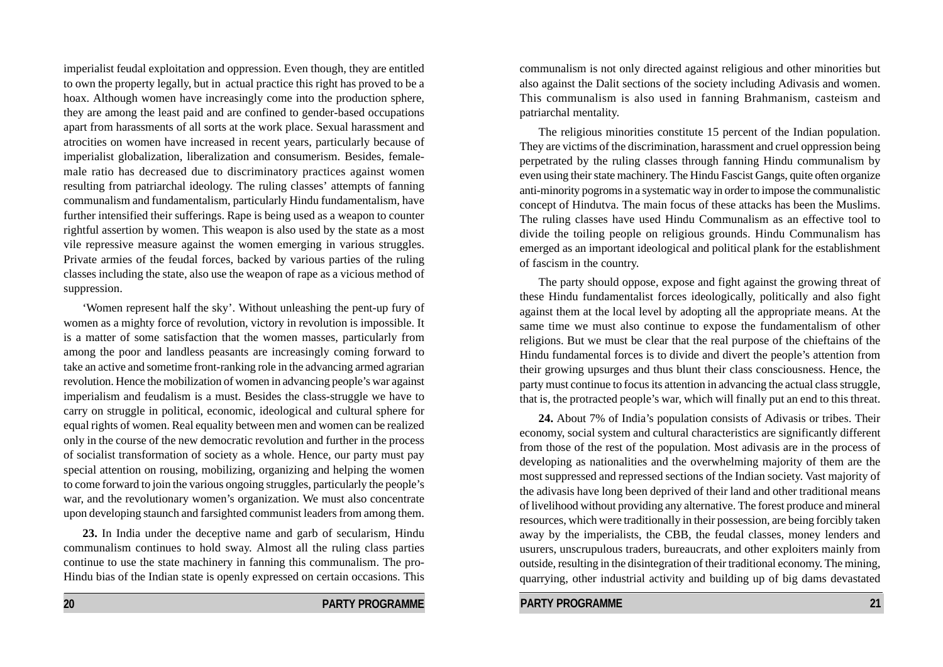imperialist feudal exploitation and oppression. Even though, they are entitled to own the property legally, but in actual practice this right has proved to be a hoax. Although women have increasingly come into the production sphere, they are among the least paid and are confined to gender-based occupations apart from harassments of all sorts at the work place. Sexual harassment and atrocities on women have increased in recent years, particularly because of imperialist globalization, liberalization and consumerism. Besides, femalemale ratio has decreased due to discriminatory practices against women resulting from patriarchal ideology. The ruling classes' attempts of fanning communalism and fundamentalism, particularly Hindu fundamentalism, have further intensified their sufferings. Rape is being used as a weapon to counter rightful assertion by women. This weapon is also used by the state as a most vile repressive measure against the women emerging in various struggles. Private armies of the feudal forces, backed by various parties of the ruling classes including the state, also use the weapon of rape as a vicious method of suppression.

'Women represent half the sky'. Without unleashing the pent-up fury of women as a mighty force of revolution, victory in revolution is impossible. It is a matter of some satisfaction that the women masses, particularly from among the poor and landless peasants are increasingly coming forward to take an active and sometime front-ranking role in the advancing armed agrarian revolution. Hence the mobilization of women in advancing people's war against imperialism and feudalism is a must. Besides the class-struggle we have to carry on struggle in political, economic, ideological and cultural sphere for equal rights of women. Real equality between men and women can be realized only in the course of the new democratic revolution and further in the process of socialist transformation of society as a whole. Hence, our party must pay special attention on rousing, mobilizing, organizing and helping the women to come forward to join the various ongoing struggles, particularly the people's war, and the revolutionary women's organization. We must also concentrate upon developing staunch and farsighted communist leaders from among them.

**23.** In India under the deceptive name and garb of secularism, Hindu communalism continues to hold sway. Almost all the ruling class parties continue to use the state machinery in fanning this communalism. The pro-Hindu bias of the Indian state is openly expressed on certain occasions. This communalism is not only directed against religious and other minorities but also against the Dalit sections of the society including Adivasis and women. This communalism is also used in fanning Brahmanism, casteism and patriarchal mentality.

The religious minorities constitute 15 percent of the Indian population. They are victims of the discrimination, harassment and cruel oppression being perpetrated by the ruling classes through fanning Hindu communalism by even using their state machinery. The Hindu Fascist Gangs, quite often organize anti-minority pogroms in a systematic way in order to impose the communalistic concept of Hindutva. The main focus of these attacks has been the Muslims. The ruling classes have used Hindu Communalism as an effective tool to divide the toiling people on religious grounds. Hindu Communalism has emerged as an important ideological and political plank for the establishment of fascism in the country.

The party should oppose, expose and fight against the growing threat of these Hindu fundamentalist forces ideologically, politically and also fight against them at the local level by adopting all the appropriate means. At the same time we must also continue to expose the fundamentalism of other religions. But we must be clear that the real purpose of the chieftains of the Hindu fundamental forces is to divide and divert the people's attention from their growing upsurges and thus blunt their class consciousness. Hence, the party must continue to focus its attention in advancing the actual class struggle, that is, the protracted people's war, which will finally put an end to this threat.

**24.** About 7% of India's population consists of Adivasis or tribes. Their economy, social system and cultural characteristics are significantly different from those of the rest of the population. Most adivasis are in the process of developing as nationalities and the overwhelming majority of them are the most suppressed and repressed sections of the Indian society. Vast majority of the adivasis have long been deprived of their land and other traditional means of livelihood without providing any alternative. The forest produce and mineral resources, which were traditionally in their possession, are being forcibly taken away by the imperialists, the CBB, the feudal classes, money lenders and usurers, unscrupulous traders, bureaucrats, and other exploiters mainly from outside, resulting in the disintegration of their traditional economy. The mining, quarrying, other industrial activity and building up of big dams devastated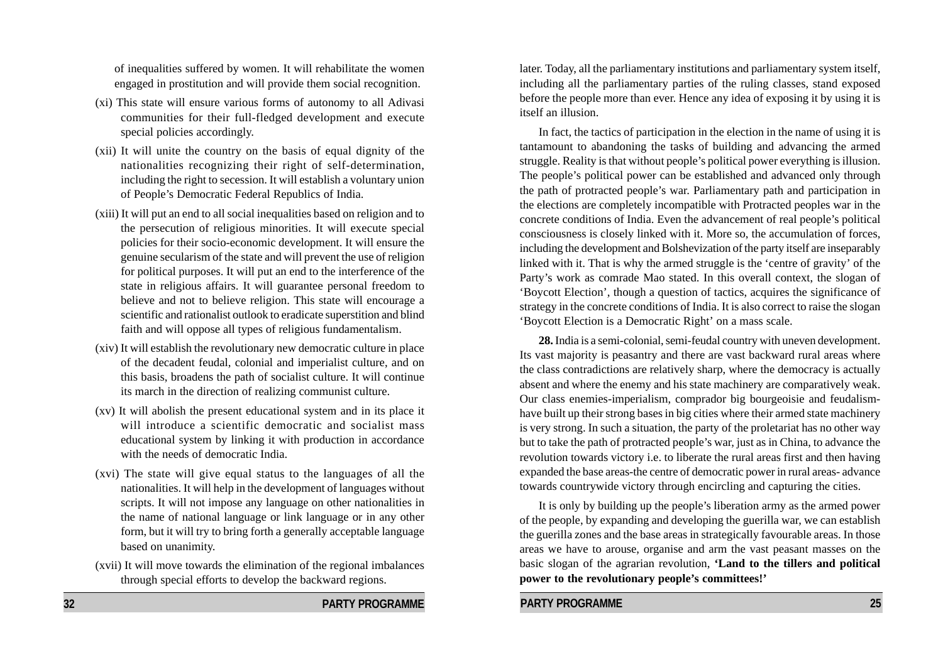of inequalities suffered by women. It will rehabilitate the women engaged in prostitution and will provide them social recognition.

- (xi) This state will ensure various forms of autonomy to all Adivasi communities for their full-fledged development and execute special policies accordingly.
- (xii) It will unite the country on the basis of equal dignity of the nationalities recognizing their right of self-determination, including the right to secession. It will establish a voluntary union of People's Democratic Federal Republics of India.
- (xiii) It will put an end to all social inequalities based on religion and to the persecution of religious minorities. It will execute special policies for their socio-economic development. It will ensure the genuine secularism of the state and will prevent the use of religion for political purposes. It will put an end to the interference of the state in religious affairs. It will guarantee personal freedom to believe and not to believe religion. This state will encourage a scientific and rationalist outlook to eradicate superstition and blind faith and will oppose all types of religious fundamentalism.
- (xiv) It will establish the revolutionary new democratic culture in place of the decadent feudal, colonial and imperialist culture, and on this basis, broadens the path of socialist culture. It will continue its march in the direction of realizing communist culture.
- (xv) It will abolish the present educational system and in its place it will introduce a scientific democratic and socialist mass educational system by linking it with production in accordance with the needs of democratic India.
- (xvi) The state will give equal status to the languages of all the nationalities. It will help in the development of languages without scripts. It will not impose any language on other nationalities in the name of national language or link language or in any other form, but it will try to bring forth a generally acceptable language based on unanimity.
- (xvii) It will move towards the elimination of the regional imbalances through special efforts to develop the backward regions.

**32 PARTY PROGRAMME** 

later. Today, all the parliamentary institutions and parliamentary system itself, including all the parliamentary parties of the ruling classes, stand exposed before the people more than ever. Hence any idea of exposing it by using it is itself an illusion.

In fact, the tactics of participation in the election in the name of using it is tantamount to abandoning the tasks of building and advancing the armed struggle. Reality is that without people's political power everything is illusion. The people's political power can be established and advanced only through the path of protracted people's war. Parliamentary path and participation in the elections are completely incompatible with Protracted peoples war in the concrete conditions of India. Even the advancement of real people's political consciousness is closely linked with it. More so, the accumulation of forces, including the development and Bolshevization of the party itself are inseparably linked with it. That is why the armed struggle is the 'centre of gravity' of the Party's work as comrade Mao stated. In this overall context, the slogan of 'Boycott Election', though a question of tactics, acquires the significance of strategy in the concrete conditions of India. It is also correct to raise the slogan 'Boycott Election is a Democratic Right' on a mass scale.

**28.** India is a semi-colonial, semi-feudal country with uneven development. Its vast majority is peasantry and there are vast backward rural areas where the class contradictions are relatively sharp, where the democracy is actually absent and where the enemy and his state machinery are comparatively weak. Our class enemies-imperialism, comprador big bourgeoisie and feudalismhave built up their strong bases in big cities where their armed state machinery is very strong. In such a situation, the party of the proletariat has no other way but to take the path of protracted people's war, just as in China, to advance the revolution towards victory i.e. to liberate the rural areas first and then having expanded the base areas-the centre of democratic power in rural areas- advance towards countrywide victory through encircling and capturing the cities.

It is only by building up the people's liberation army as the armed power of the people, by expanding and developing the guerilla war, we can establish the guerilla zones and the base areas in strategically favourable areas. In those areas we have to arouse, organise and arm the vast peasant masses on the basic slogan of the agrarian revolution, **'Land to the tillers and political power to the revolutionary people's committees!'**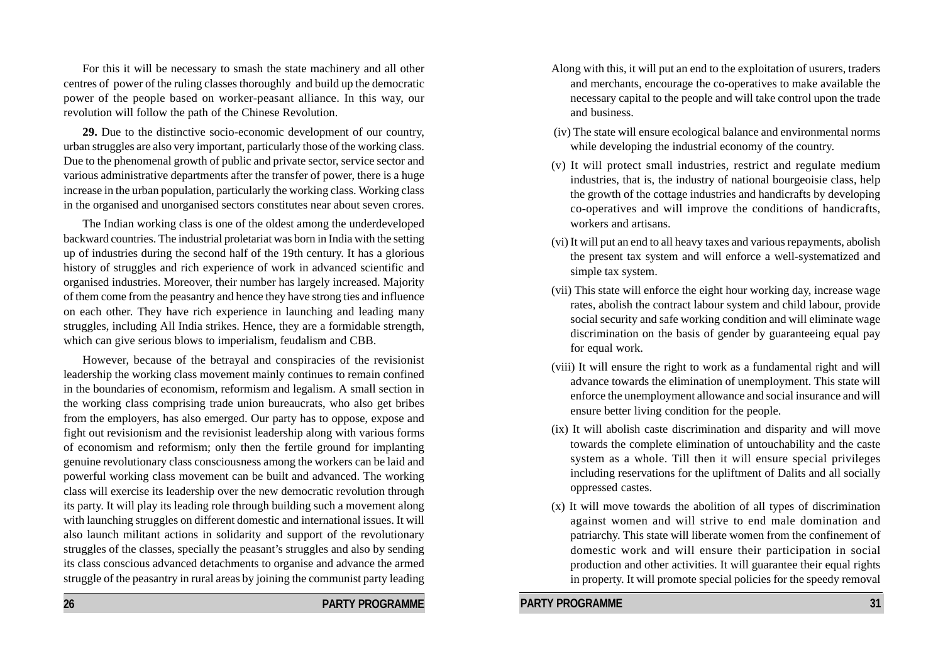For this it will be necessary to smash the state machinery and all other centres of power of the ruling classes thoroughly and build up the democratic power of the people based on worker-peasant alliance. In this way, our revolution will follow the path of the Chinese Revolution.

**29.** Due to the distinctive socio-economic development of our country, urban struggles are also very important, particularly those of the working class. Due to the phenomenal growth of public and private sector, service sector and various administrative departments after the transfer of power, there is a huge increase in the urban population, particularly the working class. Working class in the organised and unorganised sectors constitutes near about seven crores.

The Indian working class is one of the oldest among the underdeveloped backward countries. The industrial proletariat was born in India with the setting up of industries during the second half of the 19th century. It has a glorious history of struggles and rich experience of work in advanced scientific and organised industries. Moreover, their number has largely increased. Majority of them come from the peasantry and hence they have strong ties and influence on each other. They have rich experience in launching and leading many struggles, including All India strikes. Hence, they are a formidable strength, which can give serious blows to imperialism, feudalism and CBB.

However, because of the betrayal and conspiracies of the revisionist leadership the working class movement mainly continues to remain confined in the boundaries of economism, reformism and legalism. A small section in the working class comprising trade union bureaucrats, who also get bribes from the employers, has also emerged. Our party has to oppose, expose and fight out revisionism and the revisionist leadership along with various forms of economism and reformism; only then the fertile ground for implanting genuine revolutionary class consciousness among the workers can be laid and powerful working class movement can be built and advanced. The working class will exercise its leadership over the new democratic revolution through its party. It will play its leading role through building such a movement along with launching struggles on different domestic and international issues. It will also launch militant actions in solidarity and support of the revolutionary struggles of the classes, specially the peasant's struggles and also by sending its class conscious advanced detachments to organise and advance the armed struggle of the peasantry in rural areas by joining the communist party leading

Along with this, it will put an end to the exploitation of usurers, traders and merchants, encourage the co-operatives to make available the necessary capital to the people and will take control upon the trade and business.

- (iv) The state will ensure ecological balance and environmental norms while developing the industrial economy of the country.
- (v) It will protect small industries, restrict and regulate medium industries, that is, the industry of national bourgeoisie class, help the growth of the cottage industries and handicrafts by developing co-operatives and will improve the conditions of handicrafts, workers and artisans.
- (vi) It will put an end to all heavy taxes and various repayments, abolish the present tax system and will enforce a well-systematized and simple tax system.
- (vii) This state will enforce the eight hour working day, increase wage rates, abolish the contract labour system and child labour, provide social security and safe working condition and will eliminate wage discrimination on the basis of gender by guaranteeing equal pay for equal work.
- (viii) It will ensure the right to work as a fundamental right and will advance towards the elimination of unemployment. This state will enforce the unemployment allowance and social insurance and will ensure better living condition for the people.
- (ix) It will abolish caste discrimination and disparity and will move towards the complete elimination of untouchability and the caste system as a whole. Till then it will ensure special privileges including reservations for the upliftment of Dalits and all socially oppressed castes.
- (x) It will move towards the abolition of all types of discrimination against women and will strive to end male domination and patriarchy. This state will liberate women from the confinement of domestic work and will ensure their participation in social production and other activities. It will guarantee their equal rights in property. It will promote special policies for the speedy removal

**26 PARTY PROGRAMME**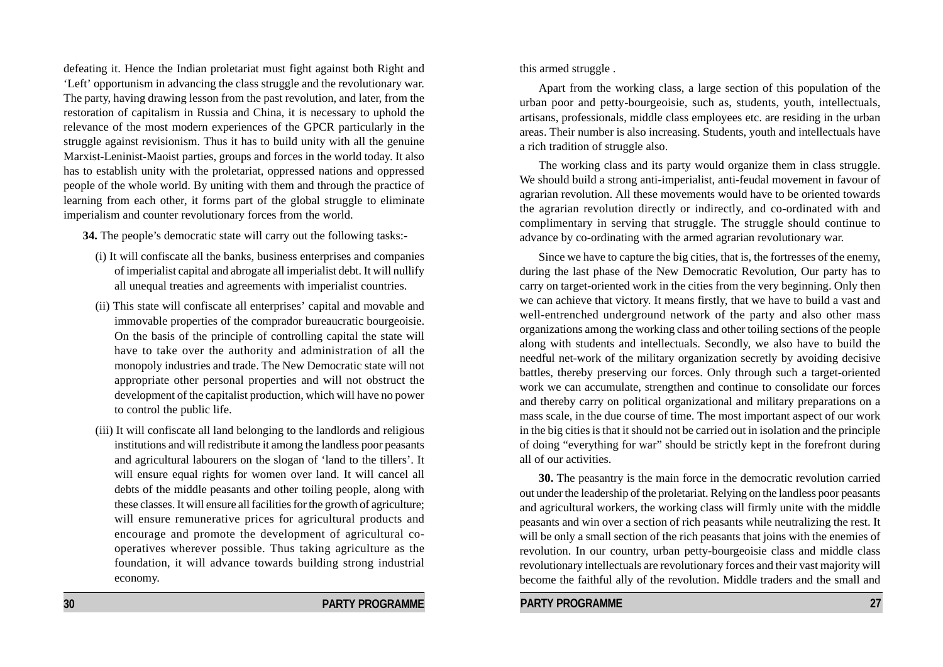defeating it. Hence the Indian proletariat must fight against both Right and 'Left' opportunism in advancing the class struggle and the revolutionary war. The party, having drawing lesson from the past revolution, and later, from the restoration of capitalism in Russia and China, it is necessary to uphold the relevance of the most modern experiences of the GPCR particularly in the struggle against revisionism. Thus it has to build unity with all the genuine Marxist-Leninist-Maoist parties, groups and forces in the world today. It also has to establish unity with the proletariat, oppressed nations and oppressed people of the whole world. By uniting with them and through the practice of learning from each other, it forms part of the global struggle to eliminate imperialism and counter revolutionary forces from the world.

**34.** The people's democratic state will carry out the following tasks:-

- (i) It will confiscate all the banks, business enterprises and companies of imperialist capital and abrogate all imperialist debt. It will nullify all unequal treaties and agreements with imperialist countries.
- (ii) This state will confiscate all enterprises' capital and movable and immovable properties of the comprador bureaucratic bourgeoisie. On the basis of the principle of controlling capital the state will have to take over the authority and administration of all the monopoly industries and trade. The New Democratic state will not appropriate other personal properties and will not obstruct the development of the capitalist production, which will have no power to control the public life.
- (iii) It will confiscate all land belonging to the landlords and religious institutions and will redistribute it among the landless poor peasants and agricultural labourers on the slogan of 'land to the tillers'. It will ensure equal rights for women over land. It will cancel all debts of the middle peasants and other toiling people, along with these classes. It will ensure all facilities for the growth of agriculture; will ensure remunerative prices for agricultural products and encourage and promote the development of agricultural cooperatives wherever possible. Thus taking agriculture as the foundation, it will advance towards building strong industrial economy.

this armed struggle .

Apart from the working class, a large section of this population of the urban poor and petty-bourgeoisie, such as, students, youth, intellectuals, artisans, professionals, middle class employees etc. are residing in the urban areas. Their number is also increasing. Students, youth and intellectuals have a rich tradition of struggle also.

The working class and its party would organize them in class struggle. We should build a strong anti-imperialist, anti-feudal movement in favour of agrarian revolution. All these movements would have to be oriented towards the agrarian revolution directly or indirectly, and co-ordinated with and complimentary in serving that struggle. The struggle should continue to advance by co-ordinating with the armed agrarian revolutionary war.

Since we have to capture the big cities, that is, the fortresses of the enemy, during the last phase of the New Democratic Revolution, Our party has to carry on target-oriented work in the cities from the very beginning. Only then we can achieve that victory. It means firstly, that we have to build a vast and well-entrenched underground network of the party and also other mass organizations among the working class and other toiling sections of the people along with students and intellectuals. Secondly, we also have to build the needful net-work of the military organization secretly by avoiding decisive battles, thereby preserving our forces. Only through such a target-oriented work we can accumulate, strengthen and continue to consolidate our forces and thereby carry on political organizational and military preparations on a mass scale, in the due course of time. The most important aspect of our work in the big cities is that it should not be carried out in isolation and the principle of doing "everything for war" should be strictly kept in the forefront during all of our activities.

**30.** The peasantry is the main force in the democratic revolution carried out under the leadership of the proletariat. Relying on the landless poor peasants and agricultural workers, the working class will firmly unite with the middle peasants and win over a section of rich peasants while neutralizing the rest. It will be only a small section of the rich peasants that joins with the enemies of revolution. In our country, urban petty-bourgeoisie class and middle class revolutionary intellectuals are revolutionary forces and their vast majority will become the faithful ally of the revolution. Middle traders and the small and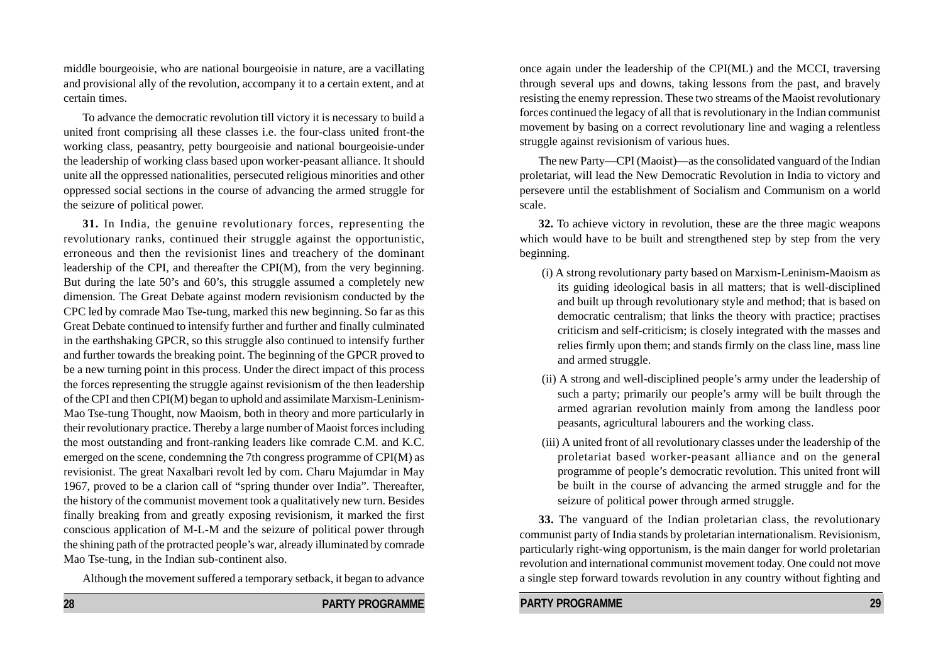middle bourgeoisie, who are national bourgeoisie in nature, are a vacillating and provisional ally of the revolution, accompany it to a certain extent, and at certain times.

To advance the democratic revolution till victory it is necessary to build a united front comprising all these classes i.e. the four-class united front-the working class, peasantry, petty bourgeoisie and national bourgeoisie-under the leadership of working class based upon worker-peasant alliance. It should unite all the oppressed nationalities, persecuted religious minorities and other oppressed social sections in the course of advancing the armed struggle for the seizure of political power.

**31.** In India, the genuine revolutionary forces, representing the revolutionary ranks, continued their struggle against the opportunistic, erroneous and then the revisionist lines and treachery of the dominant leadership of the CPI, and thereafter the CPI(M), from the very beginning. But during the late 50's and 60's, this struggle assumed a completely new dimension. The Great Debate against modern revisionism conducted by the CPC led by comrade Mao Tse-tung, marked this new beginning. So far as this Great Debate continued to intensify further and further and finally culminated in the earthshaking GPCR, so this struggle also continued to intensify further and further towards the breaking point. The beginning of the GPCR proved to be a new turning point in this process. Under the direct impact of this process the forces representing the struggle against revisionism of the then leadership of the CPI and then CPI(M) began to uphold and assimilate Marxism-Leninism-Mao Tse-tung Thought, now Maoism, both in theory and more particularly in their revolutionary practice. Thereby a large number of Maoist forces including the most outstanding and front-ranking leaders like comrade C.M. and K.C. emerged on the scene, condemning the 7th congress programme of CPI(M) as revisionist. The great Naxalbari revolt led by com. Charu Majumdar in May 1967, proved to be a clarion call of "spring thunder over India". Thereafter, the history of the communist movement took a qualitatively new turn. Besides finally breaking from and greatly exposing revisionism, it marked the first conscious application of M-L-M and the seizure of political power through the shining path of the protracted people's war, already illuminated by comrade Mao Tse-tung, in the Indian sub-continent also.

Although the movement suffered a temporary setback, it began to advance

once again under the leadership of the CPI(ML) and the MCCI, traversing through several ups and downs, taking lessons from the past, and bravely resisting the enemy repression. These two streams of the Maoist revolutionary forces continued the legacy of all that is revolutionary in the Indian communist movement by basing on a correct revolutionary line and waging a relentless struggle against revisionism of various hues.

The new Party—CPI (Maoist)—as the consolidated vanguard of the Indian proletariat, will lead the New Democratic Revolution in India to victory and persevere until the establishment of Socialism and Communism on a world scale.

**32.** To achieve victory in revolution, these are the three magic weapons which would have to be built and strengthened step by step from the very beginning.

- (i) A strong revolutionary party based on Marxism-Leninism-Maoism as its guiding ideological basis in all matters; that is well-disciplined and built up through revolutionary style and method; that is based on democratic centralism; that links the theory with practice; practises criticism and self-criticism; is closely integrated with the masses and relies firmly upon them; and stands firmly on the class line, mass line and armed struggle.
- (ii) A strong and well-disciplined people's army under the leadership of such a party; primarily our people's army will be built through the armed agrarian revolution mainly from among the landless poor peasants, agricultural labourers and the working class.
- (iii) A united front of all revolutionary classes under the leadership of the proletariat based worker-peasant alliance and on the general programme of people's democratic revolution. This united front will be built in the course of advancing the armed struggle and for the seizure of political power through armed struggle.

**33.** The vanguard of the Indian proletarian class, the revolutionary communist party of India stands by proletarian internationalism. Revisionism, particularly right-wing opportunism, is the main danger for world proletarian revolution and international communist movement today. One could not move a single step forward towards revolution in any country without fighting and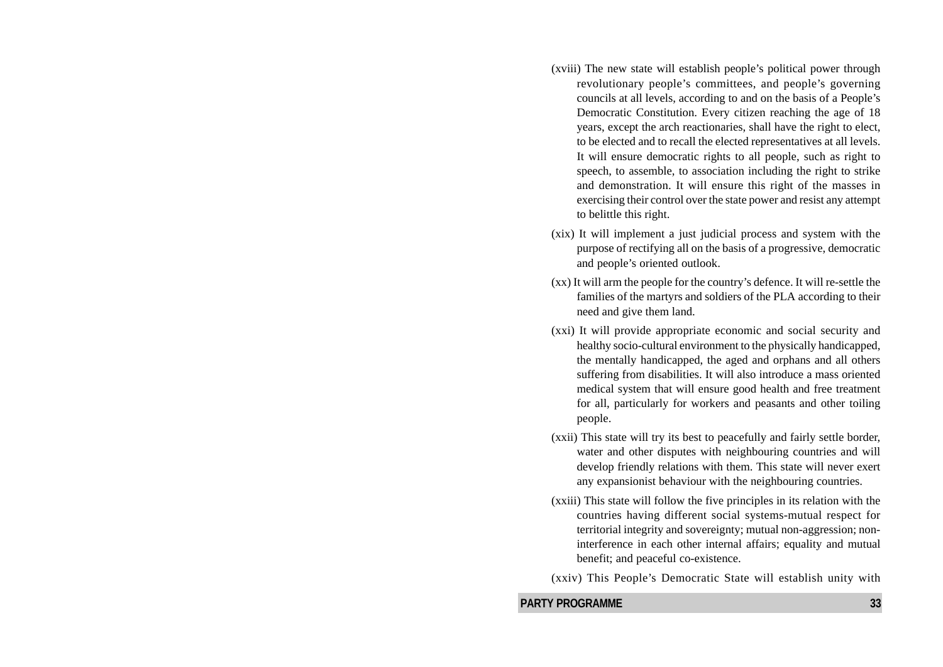- (xviii) The new state will establish people's political power through revolutionary people's committees, and people's governing councils at all levels, according to and on the basis of a People's Democratic Constitution. Every citizen reaching the age of 18 years, except the arch reactionaries, shall have the right to elect, to be elected and to recall the elected representatives at all levels. It will ensure democratic rights to all people, such as right to speech, to assemble, to association including the right to strike and demonstration. It will ensure this right of the masses in exercising their control over the state power and resist any attempt to belittle this right.
- (xix) It will implement a just judicial process and system with the purpose of rectifying all on the basis of a progressive, democratic and people's oriented outlook.
- (xx) It will arm the people for the country's defence. It will re-settle the families of the martyrs and soldiers of the PLA according to their need and give them land.
- (xxi) It will provide appropriate economic and social security and healthy socio-cultural environment to the physically handicapped, the mentally handicapped, the aged and orphans and all others suffering from disabilities. It will also introduce a mass oriented medical system that will ensure good health and free treatment for all, particularly for workers and peasants and other toiling people.
- (xxii) This state will try its best to peacefully and fairly settle border, water and other disputes with neighbouring countries and will develop friendly relations with them. This state will never exert any expansionist behaviour with the neighbouring countries.
- (xxiii) This state will follow the five principles in its relation with the countries having different social systems-mutual respect for territorial integrity and sovereignty; mutual non-aggression; noninterference in each other internal affairs; equality and mutual benefit; and peaceful co-existence.
- (xxiv) This People's Democratic State will establish unity with